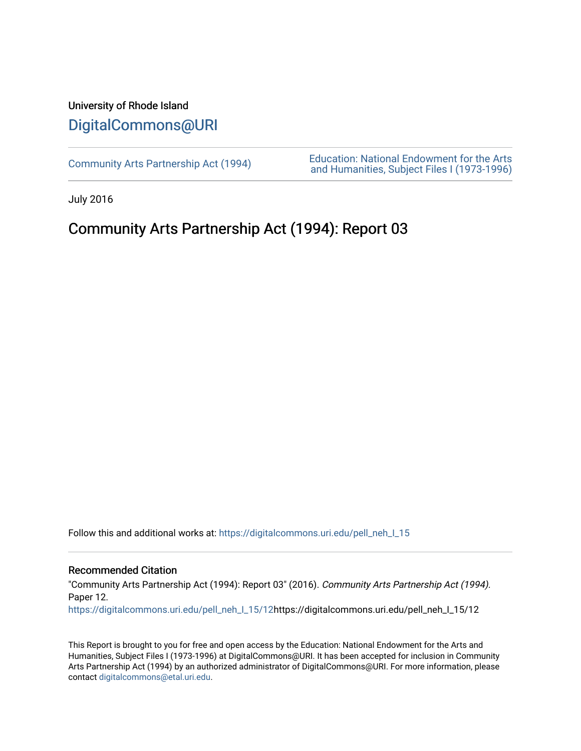## University of Rhode Island [DigitalCommons@URI](https://digitalcommons.uri.edu/)

[Community Arts Partnership Act \(1994\)](https://digitalcommons.uri.edu/pell_neh_I_15) [Education: National Endowment for the Arts](https://digitalcommons.uri.edu/pell_neh_I)  [and Humanities, Subject Files I \(1973-1996\)](https://digitalcommons.uri.edu/pell_neh_I) 

July 2016

# Community Arts Partnership Act (1994): Report 03

Follow this and additional works at: https://digitalcommons.uri.edu/pell\_neh\_I\_15

#### Recommended Citation

"Community Arts Partnership Act (1994): Report 03" (2016). Community Arts Partnership Act (1994). Paper 12.

[https://digitalcommons.uri.edu/pell\\_neh\\_I\\_15/12h](https://digitalcommons.uri.edu/pell_neh_I_15/12?utm_source=digitalcommons.uri.edu%2Fpell_neh_I_15%2F12&utm_medium=PDF&utm_campaign=PDFCoverPages)ttps://digitalcommons.uri.edu/pell\_neh\_I\_15/12

This Report is brought to you for free and open access by the Education: National Endowment for the Arts and Humanities, Subject Files I (1973-1996) at DigitalCommons@URI. It has been accepted for inclusion in Community Arts Partnership Act (1994) by an authorized administrator of DigitalCommons@URI. For more information, please contact [digitalcommons@etal.uri.edu.](mailto:digitalcommons@etal.uri.edu)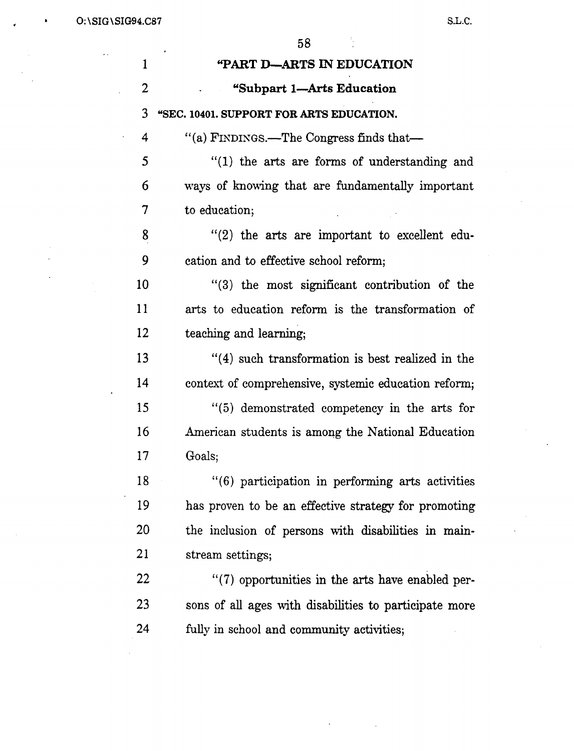$0:\S$ IG $\S$ 1.C.SIG $\S$ 1.C.SIG94.C87 S.L.C.

 $\overline{\phantom{a}}$ 

58

 $\frac{1}{2}$ 

| 1              | <b>"PART D-ARTS IN EDUCATION</b>                       |
|----------------|--------------------------------------------------------|
| $\overline{2}$ | "Subpart 1—Arts Education                              |
| 3              | "SEC. 10401. SUPPORT FOR ARTS EDUCATION.               |
| 4              | "(a) FINDINGS.—The Congress finds that—                |
| 5              | "(1) the arts are forms of understanding and           |
| 6              | ways of knowing that are fundamentally important       |
| 7              | to education;                                          |
| 8              | $''(2)$ the arts are important to excellent edu-       |
| 9              | cation and to effective school reform;                 |
| 10             | "(3) the most significant contribution of the          |
| 11             | arts to education reform is the transformation of      |
| 12             | teaching and learning;                                 |
| 13             | $f'(4)$ such transformation is best realized in the    |
| 14             | context of comprehensive, systemic education reform;   |
| 15             | "(5) demonstrated competency in the arts for           |
| 16             | American students is among the National Education      |
| 17             | Goals;                                                 |
| 18             | "(6) participation in performing arts activities       |
| 19             | has proven to be an effective strategy for promoting   |
| 20             | the inclusion of persons with disabilities in main-    |
| 21             | stream settings;                                       |
| 22             | $\lq(7)$ opportunities in the arts have enabled per-   |
| 23             | sons of all ages with disabilities to participate more |
| 24             | fully in school and community activities;              |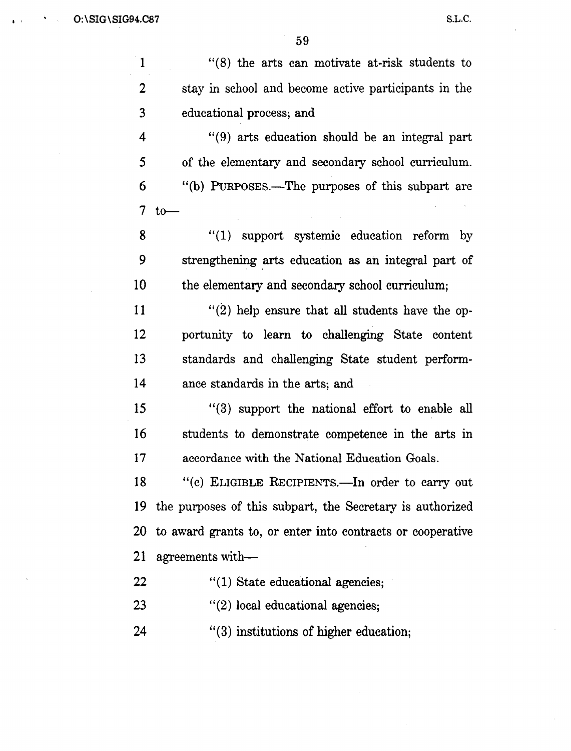$\bar{z}$ 

 $\hat{\mathcal{L}}$ 

59

 $\hat{\boldsymbol{\theta}}$ 

| $\mathbf{1}$             | $(8)$ the arts can motivate at-risk students to            |
|--------------------------|------------------------------------------------------------|
| $\overline{2}$           | stay in school and become active participants in the       |
| 3                        | educational process; and                                   |
| 4                        | "(9) arts education should be an integral part             |
| 5                        | of the elementary and secondary school curriculum.         |
| 6                        | "(b) PURPOSES.—The purposes of this subpart are            |
| $\overline{\mathcal{I}}$ | $to-$                                                      |
| 8                        | "(1) support systemic education reform by                  |
| 9                        | strengthening arts education as an integral part of        |
| 10                       | the elementary and secondary school curriculum;            |
| 11                       | $''(2)$ help ensure that all students have the op-         |
| 12                       | portunity to learn to challenging State content            |
| 13                       | standards and challenging State student perform-           |
| 14                       | ance standards in the arts; and                            |
| 15                       | $(3)$ support the national effort to enable all            |
| 16                       | students to demonstrate competence in the arts in          |
| 17                       | accordance with the National Education Goals.              |
| 18                       | "(c) ELIGIBLE RECIPIENTS.- In order to carry out           |
| 19                       | the purposes of this subpart, the Secretary is authorized  |
| 20                       | to award grants to, or enter into contracts or cooperative |
| 21                       | agreements with—                                           |
| 22                       | $"(1)$ State educational agencies;                         |
| 23                       | $''(2)$ local educational agencies;                        |
| 24                       | $\cdot$ (3) institutions of higher education;              |

 $\mathcal{A}^{\mathcal{A}}$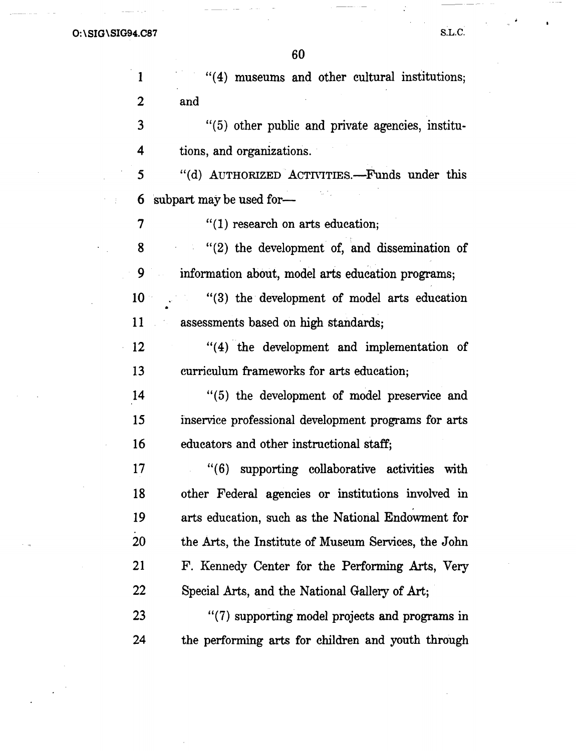| $\mathbf{1}$   | "(4) museums and other cultural institutions;        |
|----------------|------------------------------------------------------|
| $\overline{2}$ | and                                                  |
| 3              | "(5) other public and private agencies, institu-     |
| 4              | tions, and organizations.                            |
| 5              | "(d) AUTHORIZED ACTIVITIES.-Funds under this         |
| 6              | subpart may be used for-                             |
| 7              | $"(1)$ research on arts education;                   |
| 8              | $''(2)$ the development of, and dissemination of     |
| 9              | information about, model arts education programs;    |
| 10             | "(3) the development of model arts education         |
| 11             | assessments based on high standards;                 |
| 12             | "(4) the development and implementation of           |
| 13             | curriculum frameworks for arts education;            |
| 14             | "(5) the development of model preservice and         |
| 15             | inservice professional development programs for arts |
| 16             | educators and other instructional staff;             |
| 17             | "(6) supporting collaborative activities with        |
| 18             | other Federal agencies or institutions involved in   |
| 19             | arts education, such as the National Endowment for   |
| 20             | the Arts, the Institute of Museum Services, the John |
| 21             | F. Kennedy Center for the Performing Arts, Very      |
| 22             | Special Arts, and the National Gallery of Art;       |
| 23             | "(7) supporting model projects and programs in       |
| 24             | the performing arts for children and youth through   |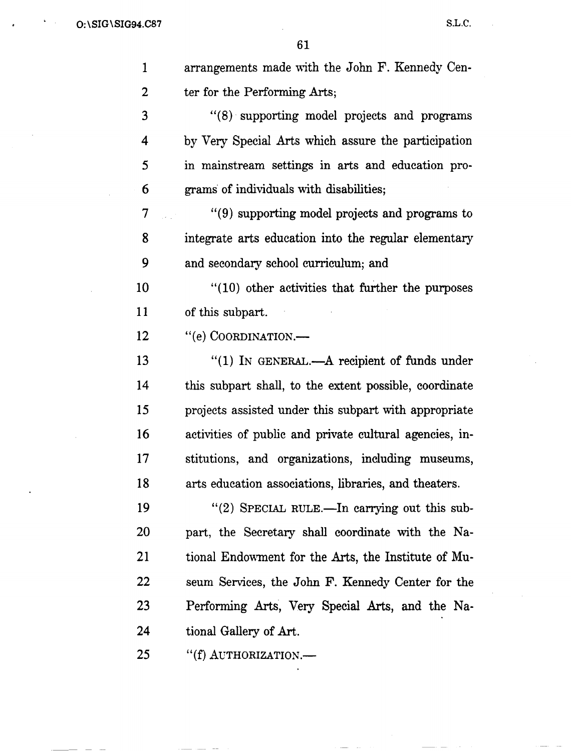$\hat{\mathcal{A}}$ 

 $\hat{\boldsymbol{\beta}}$ 

 $\overline{\phantom{a}}$ 

 $\frac{1}{2} \left( \frac{1}{2} \right)$ 

 $\bar{\mathcal{A}}$ 

 $\ddot{\phantom{a}}$ 

 $\mathcal{A}^{\mathcal{A}}$ 

 $\mathcal{L}_{\mathcal{A}}$ 

| 1              | arrangements made with the John F. Kennedy Cen-         |
|----------------|---------------------------------------------------------|
| $\overline{2}$ | ter for the Performing Arts;                            |
| 3              | "(8) supporting model projects and programs             |
| 4              | by Very Special Arts which assure the participation     |
| 5              | in mainstream settings in arts and education pro-       |
| 6              | grams of individuals with disabilities;                 |
| 7              | "(9) supporting model projects and programs to          |
| 8              | integrate arts education into the regular elementary    |
| 9              | and secondary school curriculum; and                    |
| 10             | $"(10)$ other activities that further the purposes      |
| 11             | of this subpart.                                        |
| 12             | "(e) COORDINATION.-                                     |
| 13             | "(1) IN GENERAL.—A recipient of funds under             |
| 14             | this subpart shall, to the extent possible, coordinate  |
| 15             | projects assisted under this subpart with appropriate   |
| 16             | activities of public and private cultural agencies, in- |
| 17             | stitutions, and organizations, including museums,       |
| 18             | arts education associations, libraries, and theaters.   |
| 19             | "(2) SPECIAL RULE.—In carrying out this sub-            |
| <b>20</b>      | part, the Secretary shall coordinate with the Na-       |
| 21             | tional Endowment for the Arts, the Institute of Mu-     |
| 22             | seum Services, the John F. Kennedy Center for the       |
| 23             | Performing Arts, Very Special Arts, and the Na-         |
| 24             | tional Gallery of Art.                                  |
| 25             | "(f) AUTHORIZATION.-                                    |
|                |                                                         |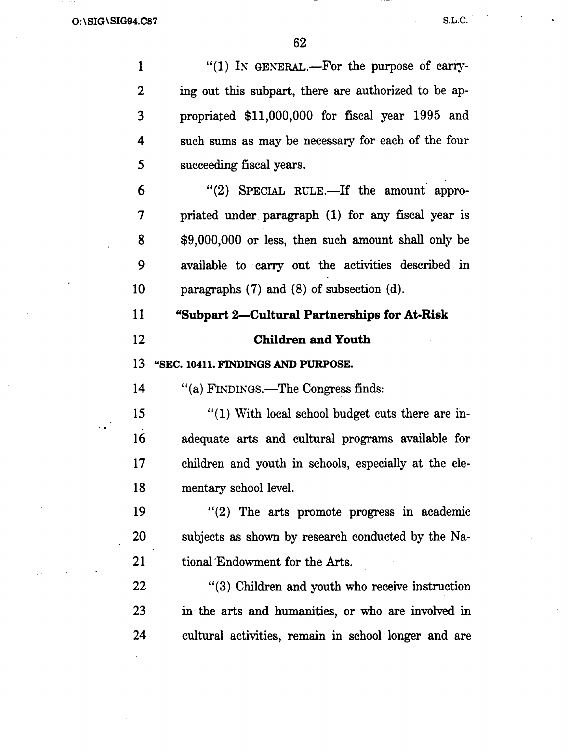1 "(1) IN GENERAL.—For the purpose of carry-2 ing out this subpart, there are authorized to be ap-3 propriated \$11,000,000 for fiscal year 1995 and 4 such sums as may be necessary for each of the four *5* succeeding fiscal years. 6 "(2) SPECIAL RULE.—If the amount appro-7 priated under paragraph (1) for any fiscal year is 8 \$9,000,000 or less, then such· amount shall only be 9 available to carry out the activities described m 10 paragraphs (7) and (8) of subsection (d). 11 "Subpart 2-Cultural Partnerships for At-Risk 12 Children and Youth 13 "SEC. 10411. FINDINGS AND PURPOSE.

14 "(a) FINDINGS.—The Congress finds:

15 "(1) With local school budget cuts there are in-16 adequate arts and cultural programs available for 17 children and youth in schools, especially at the ele-18 mentary school level.

19 "(2) The arts promote progress in academic 20 subjects as shown by research conducted by the Na-21 tional Endowment for the Arts.

22 " (3) Children and youth who receive instruction 23 in the arts and humanities, or who are involved in 24 cultural activities, remain in school longer and are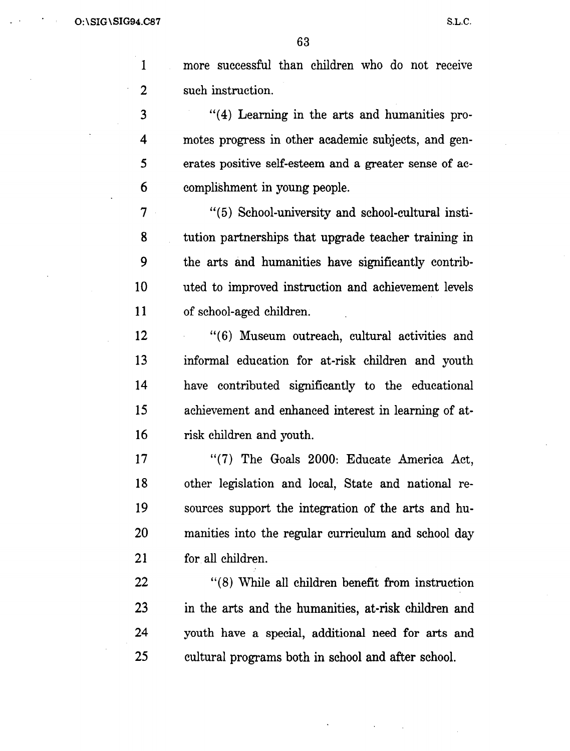63

1 more successful than children who do not receive 2 such instruction.

3 "( 4) Learning in the arts and humanities pro-4 motes progress in other academic subjects, and gen-5 erates positive self-esteem and a greater sense of ac-6 complishment in young people.

7 "(5) School-university and school-cultural insti-8 tution partnerships that upgrade teacher training in 9 the arts and humanities have significantly contrib-10 uted to improved instruction and achievement levels 11 of school-aged children.

12 "(6) Museum outreach, cultural activities and 13 informal education for at-risk children and youth 14 have contributed significantly to the educational 15 achievement and enhanced interest in learning of at-16 risk children and youth.

17 "(7) The Goals 2000: Educate America Act, 18 other legislation and local, State and national re-19 sources support the integration of the arts and hu-20 manities into the regular curriculum and school day 21 for all children.

22 " (8) While all children benefit from instruction 23 in the arts and the humanities, at-risk children and 24 youth have a special, additional need for arts and 25 cultural programs both in school and after school.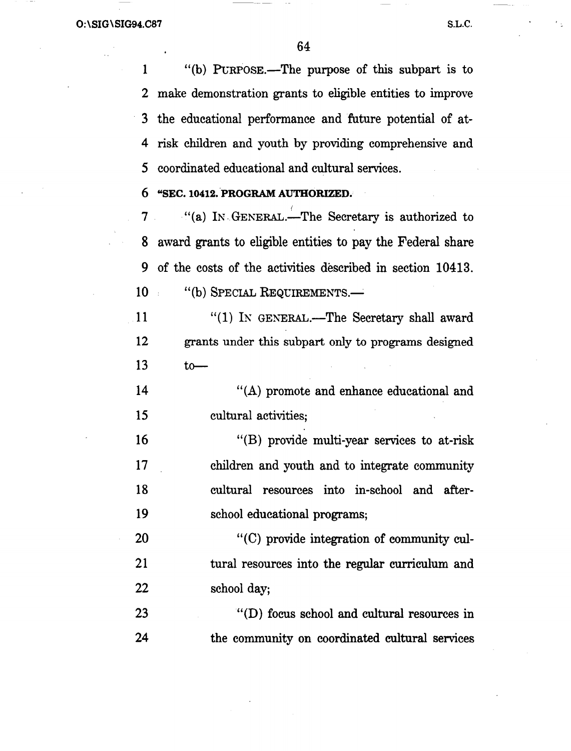1 "(b) PURPOSE.—The purpose of this subpart is to 2 make demonstration grants to eligible entities to improve 3 the educational performance and future potential of at-4 risk children and youth by providing comprehensive and 5 coordinated educational and cultural services.

#### 6 "SEC. 10412. PROGRAM AUTHORIZED.

7 "(a) IN GENERAL. The Secretary is authorized to 8 award grants to eligible entities to pay the Federal share 9 of the costs of the activities described in section 10413. 10 "(b) SPECIAL REQUIREMENTS.—

 $11$  "(1) IN GENERAL.—The Secretary shall award 12 grants under this subpart only to programs designed  $13$  to

14 "(A) promote and enhance educational and 15 cultural activities;

16 "(B) provide multi-year services to at-risk 17 children and youth and to integrate community 18 cultural resources into in-school and after-19 school educational programs;

20 "(C) provide integration of community cul-21 tural resources into the regular curriculum and 22 school day;

23 "(D) focus school and cultural resources in 24 the community on coordinated cultural services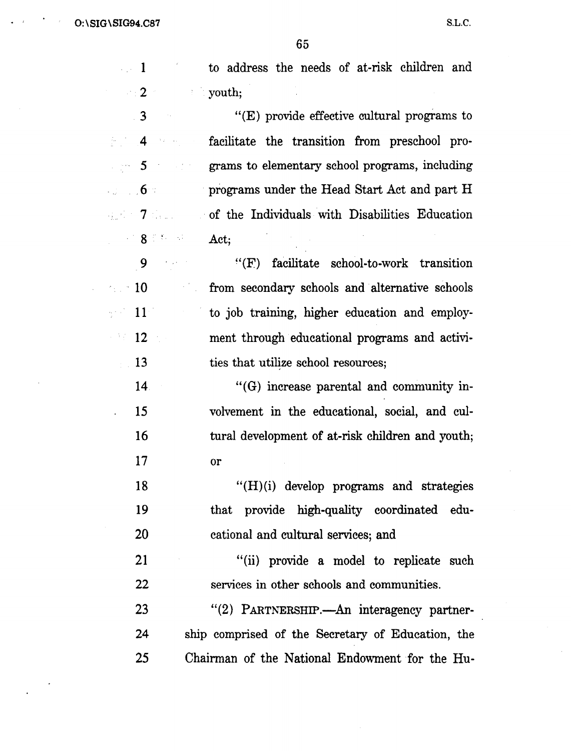$\cdot$   $\cdot$   $O:\S$ IG\SIG94.C87

 $\sim$ 

|                             | 65                                                   |
|-----------------------------|------------------------------------------------------|
| $\sim 1$                    | to address the needs of at-risk children and         |
| $\sim 2$ and $\sim$         | <b>Example 1</b> youth;                              |
| $\overline{\phantom{a}}$ 3  | " $(E)$ provide effective cultural programs to       |
| $\approx$ 4                 | facilitate the transition from preschool pro-        |
| $\sim$ 100 $\sim$ 500 $\pm$ | grams to elementary school programs, including       |
| $\sim$ 3 $\sim$ 6 $\%$      | programs under the Head Start Act and part H         |
|                             |                                                      |
| $\sim$ 8.5 for $\sim$       | Act;                                                 |
| $9$ and $10$                | facilitate school-to-work transition<br>$\lq\lq (F)$ |
| $\sim$ 10                   | from secondary schools and alternative schools       |
| $\sim -11$ .                | to job training, higher education and employ-        |
| $\sim$ 12 $\sim$ 12 $\sim$  | ment through educational programs and activi-        |
| 13<br>$\frac{1}{2}$ .       | ties that utilize school resources;                  |
| 14 <sup>°</sup>             | $\cdot$ (G) increase parental and community in-      |
| 15<br>$\ddot{\phantom{0}}$  | volvement in the educational, social, and cul-       |
| 16                          | tural development of at-risk children and youth;     |
| 17                          | or                                                   |
| 18                          | $"({\rm H})(i)$ develop programs and strategies      |
| 19                          | that provide high-quality coordinated edu-           |
| 20                          | cational and cultural services; and                  |
| 21                          | "(ii) provide a model to replicate such              |
| 22                          | services in other schools and communities.           |
| 23                          | "(2) PARTNERSHIP.—An interagency partner-            |
| 24                          | ship comprised of the Secretary of Education, the    |
| 25                          | Chairman of the National Endowment for the Hu-       |

 $\mathcal{A}^{\mathcal{A}}$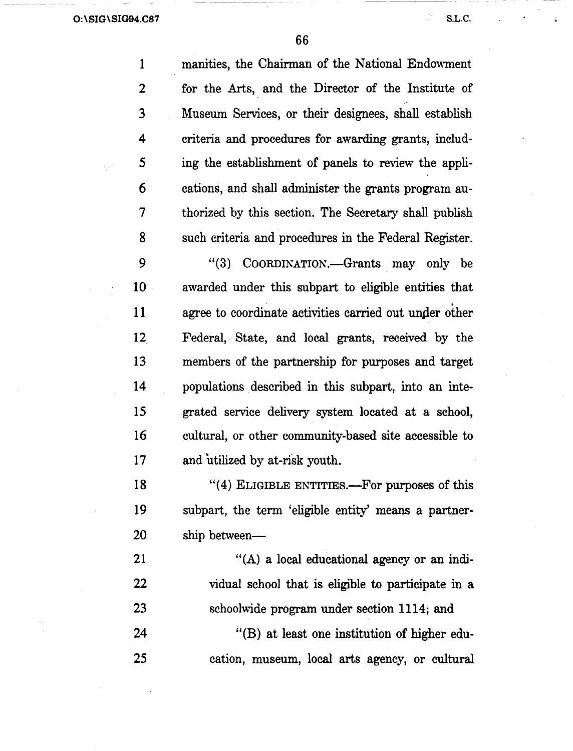66

1 manities, the Chairman of the National Endowment 2 for the Arts, and the Director of the Institute of 3 Museum Services, or their designees, shall establish 4 criteria and procedures for awarding grants, includ-5 ing the establishment of panels to review the appli-6 cations, and shall administer the grants program au-7 thorized by this section. The Secretary shall publish 8 such criteria and procedures in the Federal Register. 9 "(3) COORDINATION.—Grants may only be 10 . awarded under this subpart to eligible entities that

11 agree to coordinate activities carried out under other 12 Federal,. State, and local grants, received by the 13 members of the partnership for purposes and target 14 populations described in this subpart, into an inte-15 grated service delivery system located at a school, 16 cultural, or other community-based site accessible to 17 and utilized by at-risk youth.

18 "(4) ELIGIBLE ENTITIES.—For purposes of this 19 subpart, the term 'eligible entity' means a partner-20 ship between-

21 "(A) a local educational agency or an indi-22 vidual school that is eligible to participate in a 23 schoolwide program under section 1114; and

24 "(B) at least one institution of higher edu-25 cation, museum, local arts agency, or cultural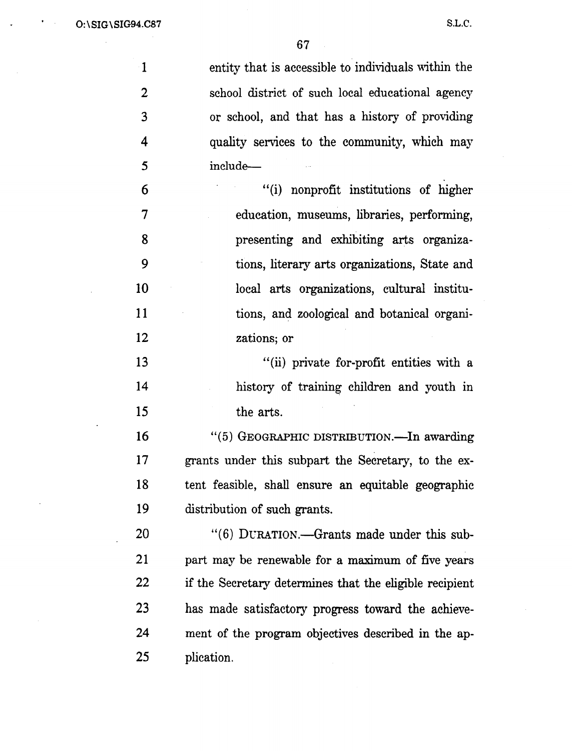$\sim$ 

 $\bullet$  $\sim$ 

J.

 $\sim$ 

| $\mathbf{1}$     | entity that is accessible to individuals within the     |
|------------------|---------------------------------------------------------|
| $\boldsymbol{2}$ | school district of such local educational agency        |
| 3                | or school, and that has a history of providing          |
| $\boldsymbol{4}$ | quality services to the community, which may            |
| 5                | include-                                                |
| 6                | "(i) nonprofit institutions of higher                   |
| $\overline{7}$   | education, museums, libraries, performing,              |
| 8                | presenting and exhibiting arts organiza-                |
| 9                | tions, literary arts organizations, State and           |
| 10               | local arts organizations, cultural institu-             |
| 11               | tions, and zoological and botanical organi-             |
| 12               | zations; or                                             |
| 13               | "(ii) private for-profit entities with a                |
| 14               | history of training children and youth in               |
| 15               | the arts.                                               |
| 16               | "(5) GEOGRAPHIC DISTRIBUTION.—In awarding               |
| 17               | grants under this subpart the Secretary, to the ex-     |
| 18               | tent feasible, shall ensure an equitable geographic     |
| 19               | distribution of such grants.                            |
| 20               | "(6) DURATION.—Grants made under this sub-              |
| 21               | part may be renewable for a maximum of five years       |
| 22               | if the Secretary determines that the eligible recipient |
| 23               | has made satisfactory progress toward the achieve-      |
| 24               | ment of the program objectives described in the ap-     |
| 25               | plication.                                              |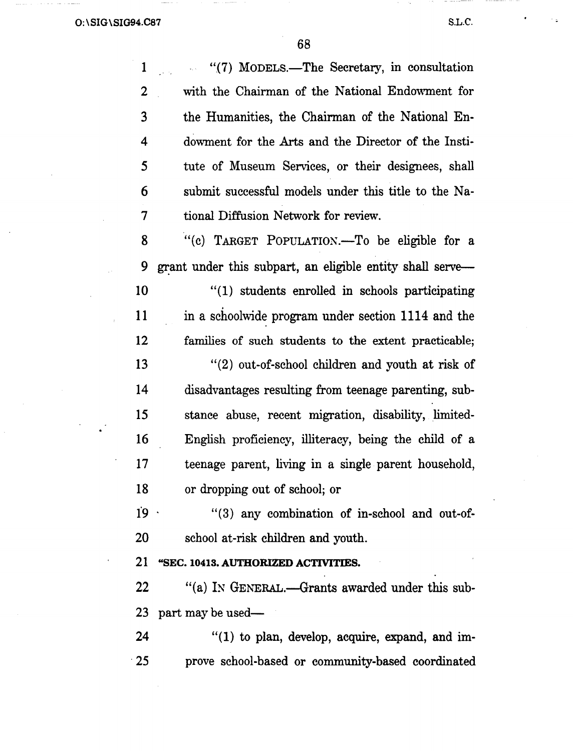$\ddot{\phantom{1}}$ 

i.<br>F

.

68

 $\bar{\mathcal{A}}$ 

| 1          | "(7) MODELS.—The Secretary, in consultation               |
|------------|-----------------------------------------------------------|
| 2          | with the Chairman of the National Endowment for           |
| 3          | the Humanities, the Chairman of the National En-          |
| 4          | dowment for the Arts and the Director of the Insti-       |
| 5          | tute of Museum Services, or their designees, shall        |
| 6          | submit successful models under this title to the Na-      |
| 7          | tional Diffusion Network for review.                      |
| 8          | "(c) TARGET POPULATION.-To be eligible for a              |
| 9          | grant under this subpart, an eligible entity shall serve— |
| 10         | "(1) students enrolled in schools participating           |
| 11         | in a schoolwide program under section 1114 and the        |
| 12         | families of such students to the extent practicable;      |
| 13         | $f'(2)$ out-of-school children and youth at risk of       |
| 14         | disadvantages resulting from teenage parenting, sub-      |
| 15         | stance abuse, recent migration, disability, limited-      |
| 16         | English proficiency, illiteracy, being the child of a     |
| 17         | teenage parent, living in a single parent household,      |
| 18         | or dropping out of school; or                             |
| $19 -$     | "(3) any combination of in-school and out-of-             |
| 20         | school at-risk children and youth.                        |
| 21         | "SEC. 10413. AUTHORIZED ACTIVITIES.                       |
| 22         | "(a) IN GENERAL.—Grants awarded under this sub-           |
| 23         | part may be used—                                         |
| 24         | "(1) to plan, develop, acquire, expand, and im-           |
| $\cdot$ 25 | prove school-based or community-based coordinated         |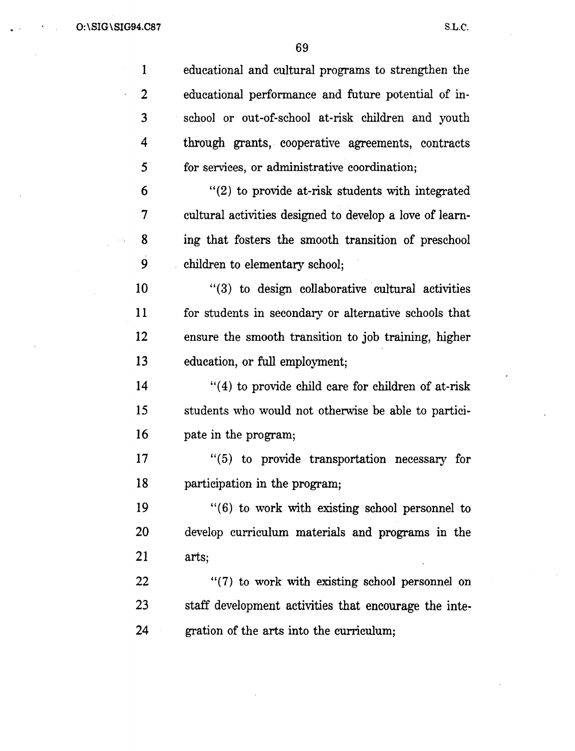. ' 0: \SIG\ SIG94.C87

S.L.C.

69

1 2 3 4 5 6 7 8 9 10 11 12 13 14 15 16 17 18 19 20 21 22 23 24 educational and cultural programs to strengthen the educational performance and future potential of inschool or out-of-school at-risk children and youth through grants, cooperative agreements, contracts for services, or administrative coordination; "{2) to provide at-risk students with integrated cultural activities designed to develop a love of learning that fosters the smooth transition of preschool children to elementary school; "(3) to design collaborative cultural activities for students in secondary or alternative schools that ensure the smooth transition to job training, higher education, or full employment;  $''(4)$  to provide child care for children of at-risk students who would not otherwise be able to participate in the program;  $\cdot$  (5) to provide transportation necessary for participation in the program;  $(6)$  to work with existing school personnel to develop curriculum materials and programs in the arts; "(7) to work with existing school personnel on staff development activities that encourage the integration of the arts into the curriculum;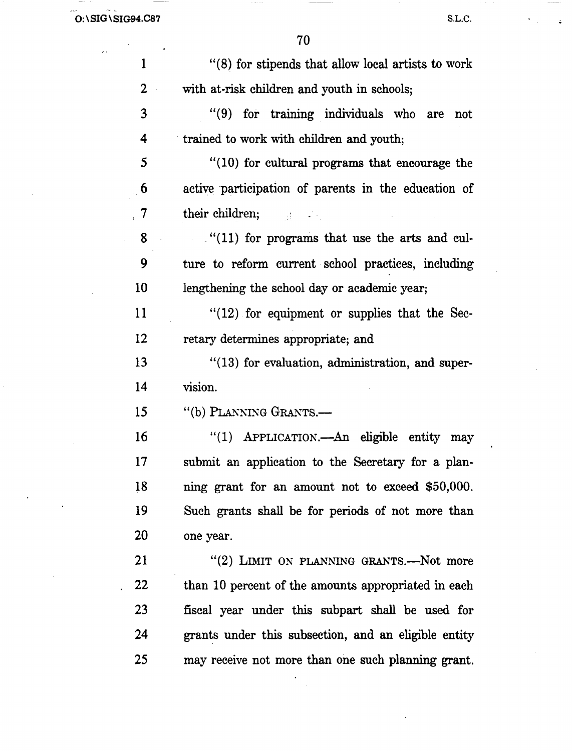$\hat{\mathcal{L}}$  .

 $\mathcal{L}$ 

 $\ddot{\phantom{1}}$ 

 $\sigma_{\rm{max}}$ 

 $\frac{1}{\frac{1}{2}}$ 

| 1                | "(8) for stipends that allow local artists to work                                                                              |
|------------------|---------------------------------------------------------------------------------------------------------------------------------|
| $\boldsymbol{2}$ | with at-risk children and youth in schools;                                                                                     |
| 3                | "(9) for training individuals who are<br>not                                                                                    |
| 4                | trained to work with children and youth;                                                                                        |
| 5                | "(10) for cultural programs that encourage the                                                                                  |
| 6                | active participation of parents in the education of                                                                             |
| 7                | their children; the second state of the second state of the second state of the second state of the second state $\mathbb{R}^n$ |
| 8                | $(11)$ for programs that use the arts and cul-                                                                                  |
| 9                | ture to reform current school practices, including                                                                              |
| 10               | lengthening the school day or academic year;                                                                                    |
| 11               | $"$ (12) for equipment or supplies that the Sec-                                                                                |
| 12               | retary determines appropriate; and                                                                                              |
| 13               | $"$ (13) for evaluation, administration, and super-                                                                             |
| 14               | vision.                                                                                                                         |
| 15               | "(b) PLANNING GRANTS.-                                                                                                          |
| 16               | "(1) APPLICATION.—An eligible entity may                                                                                        |
| 17               | submit an application to the Secretary for a plan-                                                                              |
| 18               | ning grant for an amount not to exceed \$50,000.                                                                                |
| 19               | Such grants shall be for periods of not more than                                                                               |
| 20               | one year.                                                                                                                       |
| 21               | "(2) LIMIT ON PLANNING GRANTS.—Not more                                                                                         |
| 22               | than 10 percent of the amounts appropriated in each                                                                             |
| 23               | fiscal year under this subpart shall be used for                                                                                |
| 24               | grants under this subsection, and an eligible entity                                                                            |
| 25               | may receive not more than one such planning grant.                                                                              |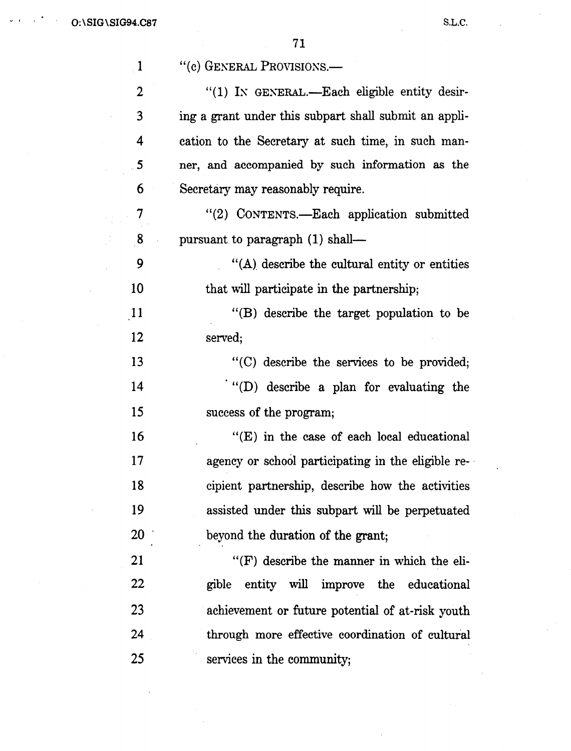$\mathbf{v} = \mathbf{t}$ 

| $\mathbf{1}$            | "(c) GENERAL PROVISIONS.—                             |
|-------------------------|-------------------------------------------------------|
| 2                       | " $(1)$ IN GENERAL.—Each eligible entity desir-       |
| 3                       | ing a grant under this subpart shall submit an appli- |
| 4                       | cation to the Secretary at such time, in such man-    |
| $\overline{\mathbf{5}}$ | ner, and accompanied by such information as the       |
| 6                       | Secretary may reasonably require.                     |
| 7                       | "(2) CONTENTS.—Each application submitted             |
| 8                       | pursuant to paragraph (1) shall—                      |
| 9                       | $\cdot$ (A) describe the cultural entity or entities  |
| 10                      | that will participate in the partnership;             |
| $\overline{11}$         | "(B) describe the target population to be             |
| 12                      | served;                                               |
| 13                      | "(C) describe the services to be provided;            |
| 14                      | "(D) describe a plan for evaluating the               |
| 15                      | success of the program;                               |
| 16                      | $f(E)$ in the case of each local educational          |
| 17                      | agency or school participating in the eligible re-    |
| 18                      | cipient partnership, describe how the activities      |
| 19                      | assisted under this subpart will be perpetuated       |
| 20                      | beyond the duration of the grant;                     |
| 21                      | "(F) describe the manner in which the eli-            |
| 22                      | entity will improve the educational<br>gible          |
| 23                      | achievement or future potential of at-risk youth      |
| 24                      | through more effective coordination of cultural       |
| 25                      | services in the community;                            |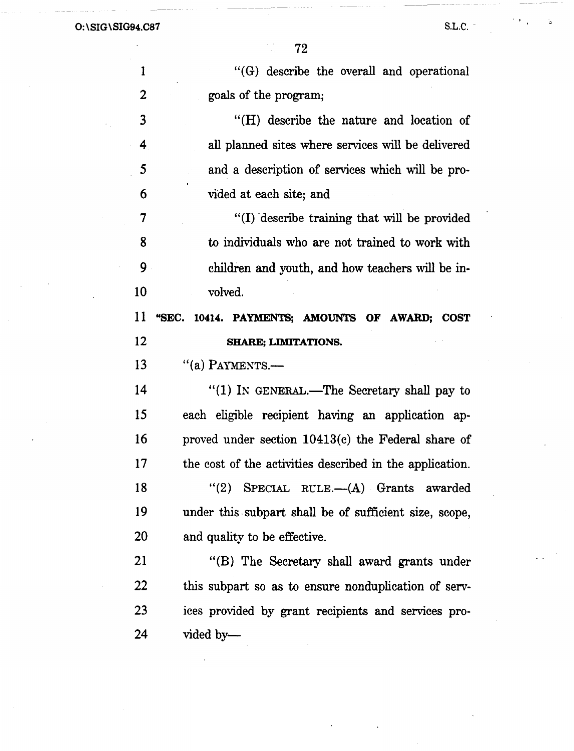$\mathcal{L}_{\mathrm{max}}$ 

 $\bar{z}$ 

 $\mathcal{O}(\mathcal{F})$ 

G

72

 $\frac{1}{2}$ 

| 1                       | "(G) describe the overall and operational                |
|-------------------------|----------------------------------------------------------|
| $\overline{2}$          | goals of the program;                                    |
| $\overline{\mathbf{3}}$ | "(H) describe the nature and location of                 |
| 4                       | all planned sites where services will be delivered       |
| 5                       | and a description of services which will be pro-         |
| 6                       | vided at each site; and                                  |
| 7                       | "(I) describe training that will be provided             |
| 8                       | to individuals who are not trained to work with          |
| 9                       | children and youth, and how teachers will be in-         |
| 10                      | volved.                                                  |
| 11                      | 10414. PAYMENTS; AMOUNTS OF AWARD; COST<br>"SEC.         |
| 12                      | <b>SHARE; LIMITATIONS.</b>                               |
|                         |                                                          |
| 13                      | "(a) PAYMENTS.-                                          |
| 14                      | "(1) IN GENERAL.—The Secretary shall pay to              |
| 15                      | each eligible recipient having an application ap-        |
| 16                      | proved under section 10413(c) the Federal share of       |
| 17                      | the cost of the activities described in the application. |
| 18                      | "(2) SPECIAL RULE.— $(A)$ Grants awarded                 |
| 19                      | under this subpart shall be of sufficient size, scope,   |
| 20                      | and quality to be effective.                             |
| 21                      | "(B) The Secretary shall award grants under              |
| 22                      | this subpart so as to ensure nonduplication of serv-     |
| 23                      | ices provided by grant recipients and services pro-      |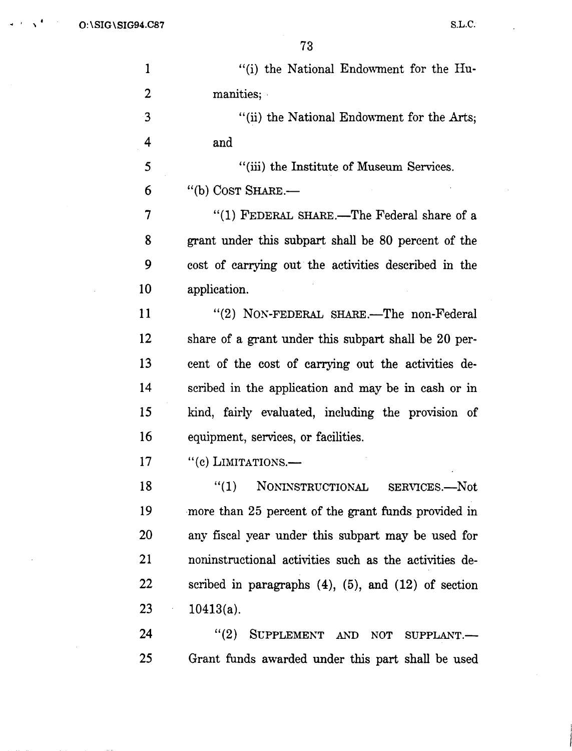.. . ' 0: \SIG \SIG94.C87 S.L.C.

 $\bar{\beta}$ 

 $\sim$ 

 $\overline{a}$ 

 $\mathcal{L}$ 

| $\mathbf{1}$   | "(i) the National Endowment for the Hu-                     |
|----------------|-------------------------------------------------------------|
| $\overline{2}$ | manities;                                                   |
| -3             | "(ii) the National Endowment for the Arts;                  |
| 4              | and                                                         |
| 5              | "(iii) the Institute of Museum Services.                    |
| 6              | "(b) COST SHARE.-                                           |
| 7              | "(1) FEDERAL SHARE.—The Federal share of a                  |
| 8              | grant under this subpart shall be 80 percent of the         |
| 9              | cost of carrying out the activities described in the        |
| 10             | application.                                                |
| 11             | "(2) NON-FEDERAL SHARE.-The non-Federal                     |
| 12             | share of a grant under this subpart shall be 20 per-        |
| 13             | cent of the cost of carrying out the activities de-         |
| 14             | scribed in the application and may be in cash or in         |
| 15             | kind, fairly evaluated, including the provision of          |
| 16             | equipment, services, or facilities.                         |
| 17             | "(c) LIMITATIONS.-                                          |
| 18             | NONINSTRUCTIONAL SERVICES.-Not<br>''(1)                     |
| 19             | more than 25 percent of the grant funds provided in         |
| 20             | any fiscal year under this subpart may be used for          |
| 21             | noninstructional activities such as the activities de-      |
| 22             | scribed in paragraphs $(4)$ , $(5)$ , and $(12)$ of section |
| 23             | $10413(a)$ .<br>$\epsilon_{\rm{eff}}$                       |
| 24             | SUPPLEMENT AND NOT SUPPLANT .-<br>(2)                       |
| 25             | Grant funds awarded under this part shall be used           |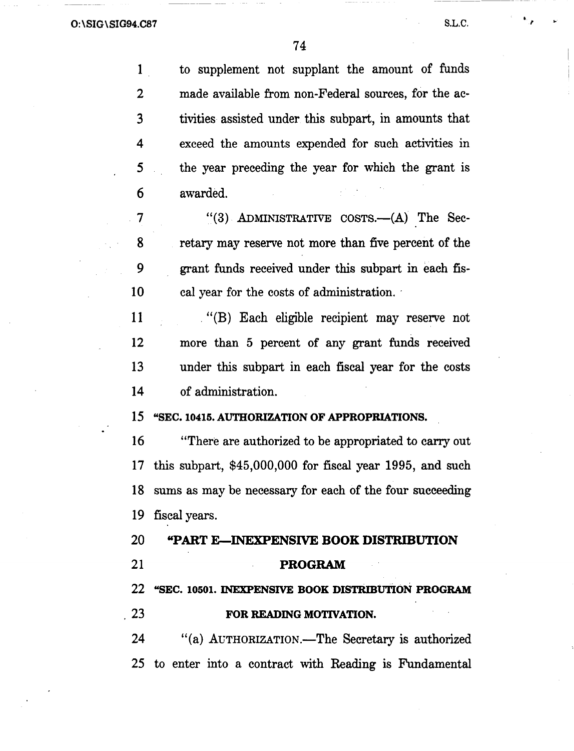'

1 to supplement not supplant the amount of funds 2 made available from non-Federal sources, for the ac-3 tivities assisted under this subpart, in amounts that 4 exceed the amounts expended for such activities in 5 the year preceding the year for which the grant is 6 awarded. 7 "(3) ADMINISTRATIVE COSTS.--(A) The Sec-8 retary may reserve not more than five percent of the 9 grant funds received under this subpart in each fis-10 cal year for the costs of administration. 11 . "(B) Each eligible recipient may reserve not 12 more than 5 percent of any grant funds received 13 under this subpart in each fiscal year for the costs 14 of administration. 15 "SEC. 10415. AUTHORIZATION OF APPROPRIATIONS. 16 "There are authorized to be appropriated to carry out 17 this subpart, \$45,000,000 for fiscal year 1995, and such 18 sums as may be necessary for each of the four succeeding 19 fiscal years. 20 "PART E-INEXPENSIVE BOOK DISTRIBUTION 21 **PROGRAM** 22 "SEC. 10501. INEXPENSIVE BOOK DISTRIBUTION PROGRAM 23 **FOR READING MOTIVATION.** 24 "(a) AUTHORIZATION.-The Secretary is authorized 25 to enter into a contract with Reading is Fundamental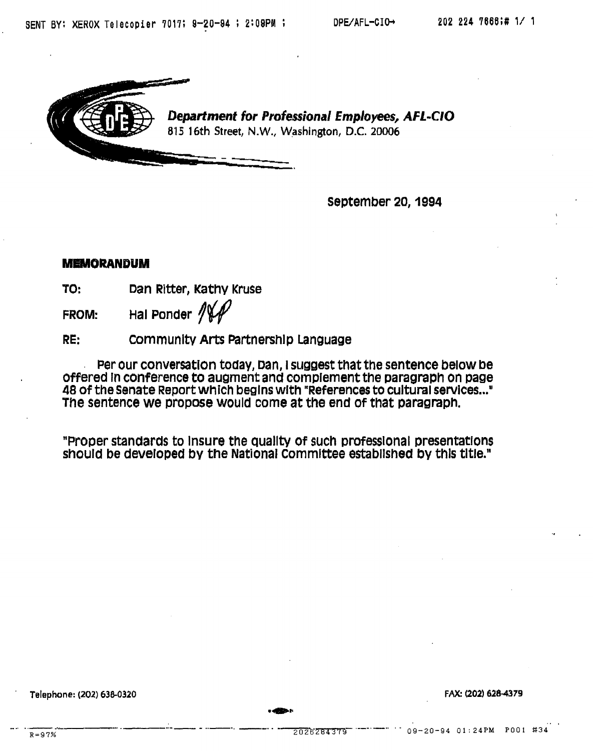

September 20, 1994

### **MEMORANDUM**

TO: Dan Ritter, Kathy Kruse

FROM: Hal Ponder  $\sqrt{M}$ 

RE: community Arts Partnership Language

Per our conversation today, Dan, I suggest that the sentence below be offered In conference to augment and complement the paragraph on page 48 of the senate Report Which begins with "References to cultural services ..• " The sentence we propose would come at the end of that paragraph.

"Proper standards to Insure the Quallty of such professional presentations should be developed by the National committee established by this title."

......

· Telephone: (202) 638-0320 FAX: (202) 628-4379